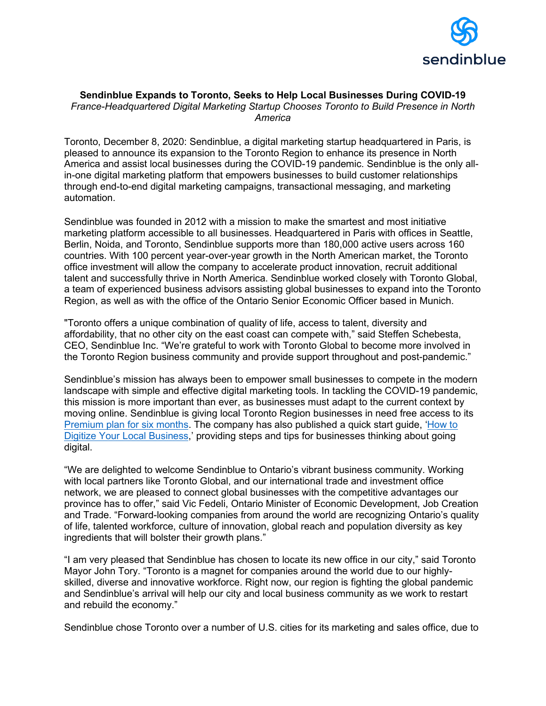

## **Sendinblue Expands to Toronto, Seeks to Help Local Businesses During COVID-19**

*France-Headquartered Digital Marketing Startup Chooses Toronto to Build Presence in North America*

Toronto, December 8, 2020: Sendinblue, a digital marketing startup headquartered in Paris, is pleased to announce its expansion to the Toronto Region to enhance its presence in North America and assist local businesses during the COVID-19 pandemic. Sendinblue is the only allin-one digital marketing platform that empowers businesses to build customer relationships through end-to-end digital marketing campaigns, transactional messaging, and marketing automation.

Sendinblue was founded in 2012 with a mission to make the smartest and most initiative marketing platform accessible to all businesses. Headquartered in Paris with offices in Seattle, Berlin, Noida, and Toronto, Sendinblue supports more than 180,000 active users across 160 countries. With 100 percent year-over-year growth in the North American market, the Toronto office investment will allow the company to accelerate product innovation, recruit additional talent and successfully thrive in North America. Sendinblue worked closely with Toronto Global, a team of experienced business advisors assisting global businesses to expand into the Toronto Region, as well as with the office of the Ontario Senior Economic Officer based in Munich.

"Toronto offers a unique combination of quality of life, access to talent, diversity and affordability, that no other city on the east coast can compete with," said Steffen Schebesta, CEO, Sendinblue Inc. "We're grateful to work with Toronto Global to become more involved in the Toronto Region business community and provide support throughout and post-pandemic."

Sendinblue's mission has always been to empower small businesses to compete in the modern landscape with simple and effective digital marketing tools. In tackling the COVID-19 pandemic, this mission is more important than ever, as businesses must adapt to the current context by moving online. Sendinblue is giving local Toronto Region businesses in need free access to its [Premium plan for six months.](https://www.sendinblue.com/local-business-support-program/) The company has also published a quick start guide, ['How to](https://www.sendinblue.com/wp-content/uploads/2020/11/EN-Grow-you-local-business-guide.pdf)  [Digitize Your Local Business,](https://www.sendinblue.com/wp-content/uploads/2020/11/EN-Grow-you-local-business-guide.pdf)' providing steps and tips for businesses thinking about going digital.

"We are delighted to welcome Sendinblue to Ontario's vibrant business community. Working with local partners like Toronto Global, and our international trade and investment office network, we are pleased to connect global businesses with the competitive advantages our province has to offer," said Vic Fedeli, Ontario Minister of Economic Development, Job Creation and Trade. "Forward-looking companies from around the world are recognizing Ontario's quality of life, talented workforce, culture of innovation, global reach and population diversity as key ingredients that will bolster their growth plans."

"I am very pleased that Sendinblue has chosen to locate its new office in our city," said Toronto Mayor John Tory. "Toronto is a magnet for companies around the world due to our highlyskilled, diverse and innovative workforce. Right now, our region is fighting the global pandemic and Sendinblue's arrival will help our city and local business community as we work to restart and rebuild the economy."

Sendinblue chose Toronto over a number of U.S. cities for its marketing and sales office, due to